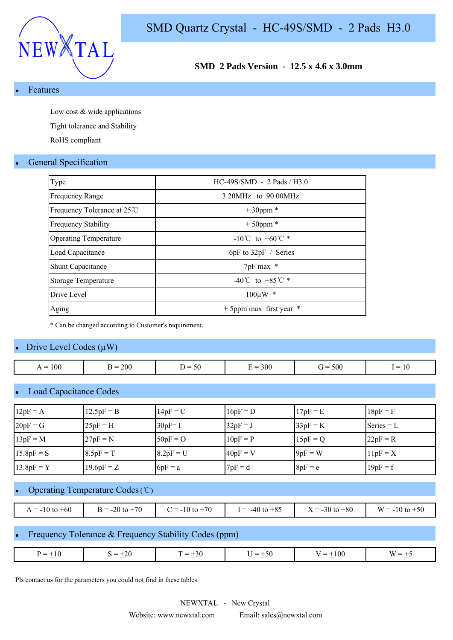

**SMD 2 Pads Version - 12.5 x 4.6 x 3.0mm**

**Features** 

Low cost & wide applications

Tight tolerance and Stability

RoHS compliant

### **General Specification**

| Type                         | $HC-49S/SMD - 2$ Pads / H3.0         |
|------------------------------|--------------------------------------|
| <b>Frequency Range</b>       | $3.20MHz$ to $90.00MHz$              |
| Frequency Tolerance at 25 ℃  | $± 30$ ppm *                         |
| <b>Frequency Stability</b>   | $± 50$ ppm *                         |
| <b>Operating Temperature</b> | $-10^{\circ}$ C to $+60^{\circ}$ C * |
| Load Capacitance             | $6pF$ to $32pF /$ Series             |
| <b>Shunt Capacitance</b>     | $7pF$ max $*$                        |
| <b>Storage Temperature</b>   | -40°C to +85°C $*$                   |
| Drive Level                  | $100 \mu W$ *                        |
| Aging                        | $\pm$ 5ppm max first year $*$        |

\* Can be changed according to Customer's requirement.

#### Drive Level Codes  $(\mu W)$

| 100<br>$=$<br>. . | <b>200</b> | $\sim$ .<br>.<br>.<br>υc | 300<br>$\overline{\phantom{a}}$ | 500<br>$\overline{\phantom{a}}$ | $\mathbf{1} \mathbf{0}$<br>$\overline{\phantom{a}}$ |
|-------------------|------------|--------------------------|---------------------------------|---------------------------------|-----------------------------------------------------|
|                   |            |                          |                                 |                                 |                                                     |

## Load Capacitance Codes

| $12pF = A$   | $12.5pF = B$ | $14pF = C$  | $16pF = D$ | $17pF = E$ | $18pF = F$   |
|--------------|--------------|-------------|------------|------------|--------------|
| $20pF = G$   | $25pF = H$   | $30pF = I$  | $32pF = J$ | $33pF = K$ | Series $= L$ |
| $13pF = M$   | $27pF = N$   | $50pF = O$  | $10pF = P$ | $15pF = Q$ | $22pF = R$   |
| $15.8pF = S$ | $8.5pF = T$  | $8.2pF = U$ | $40pF = V$ | $9pF = W$  | $11pF = X$   |
| $13.8pF = Y$ | $19.6pF = Z$ | $6pF = a$   | $7pF = d$  | $8pF = e$  | $19pF = f$   |

# Operating Temperature Codes (℃)

| $A = -10$ to $+60$ | $3 = -20$ to $+70$<br>$\mathbf{p}$ | $= -10$ to $+70$ | $-40$ to $+85$<br>$=$ | $\mathbf{r}$<br>$X = -30$ to $+80$ | $W = -10$ to $+50$ |
|--------------------|------------------------------------|------------------|-----------------------|------------------------------------|--------------------|

### Frequency Tolerance & Frequency Stability Codes (ppm)

| $\mathbf{u}$<br>. <u>. .</u><br>$\sim$<br>$\sim$<br>$\sim$ | _<br>-- | 71<br>_<br>$\overline{\phantom{a}}$ | $=$<br>ാ∪ | י | $\overline{\phantom{a}}$ | $\mathbf{M}$ |
|------------------------------------------------------------|---------|-------------------------------------|-----------|---|--------------------------|--------------|
|------------------------------------------------------------|---------|-------------------------------------|-----------|---|--------------------------|--------------|

Pls contact us for the parameters you could not find in these tables.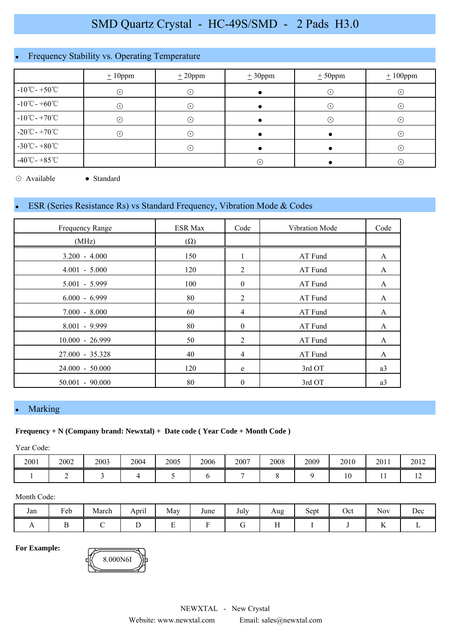# Frequency Stability vs. Operating Temperature

|                                    | $\pm 10$ ppm | $\pm 20$ ppm               | $\pm 30$ ppm | $\pm 50$ ppm | $\pm 100$ ppm |
|------------------------------------|--------------|----------------------------|--------------|--------------|---------------|
| $-10^{\circ}$ C - +50 $^{\circ}$ C | $\odot$      | $(\cdot)$                  |              | $\cdot$ )    | $(\cdot)$     |
| $-10^{\circ}$ C - +60 $^{\circ}$ C | $\odot$      | ⊙                          |              | $\bullet$    | $(\cdot)$     |
| $-10^{\circ}$ C - +70 $^{\circ}$ C | $\odot$      | ( • )                      |              | $\bullet$    | $(\cdot)$     |
| $-20^{\circ}$ C - +70 $^{\circ}$ C | ∩            | ٠.                         |              |              | $(\cdot)$     |
| $-30^{\circ}$ C - $+80^{\circ}$ C  |              | $(\,\boldsymbol{\cdot}\,)$ |              |              | $(\cdot)$     |
| $-40^{\circ}$ C - +85 $^{\circ}$ C |              |                            | $\odot$      |              | $\odot$       |

⊙ Available ● Standard

## ESR (Series Resistance Rs) vs Standard Frequency, Vibration Mode & Codes

| Frequency Range   | <b>ESR Max</b> | Code             | Vibration Mode | Code           |
|-------------------|----------------|------------------|----------------|----------------|
| (MHz)             | $(\Omega)$     |                  |                |                |
| $3.200 - 4.000$   | 150            | 1                | AT Fund        | A              |
| $4.001 - 5.000$   | 120            | 2                | AT Fund        | A              |
| $5.001 - 5.999$   | 100            | $\boldsymbol{0}$ | AT Fund        | A              |
| $6.000 - 6.999$   | 80             | 2                | AT Fund        | A              |
| $7.000 - 8.000$   | 60             | $\overline{4}$   | AT Fund        | A              |
| $8.001 - 9.999$   | 80             | $\mathbf{0}$     | AT Fund        | A              |
| $10.000 - 26.999$ | 50             | 2                | AT Fund        | A              |
| 27.000 - 35.328   | 40             | 4                | AT Fund        | A              |
| $24.000 - 50.000$ | 120            | e                | 3rd OT         | a3             |
| $50.001 - 90.000$ | 80             | $\boldsymbol{0}$ | 3rd OT         | a <sub>3</sub> |

# Marking

#### **Frequency + N (Company brand: Newxtal) + Date code ( Year Code + Month Code )**

Year Code:

| 2001 | 2002 | 2003 | 2004 | 2005 | 2006 | 2007 | 2008 | 2009 | 2010           | 2011 | 2012           |
|------|------|------|------|------|------|------|------|------|----------------|------|----------------|
|      |      |      |      |      |      |      |      |      | 1 <sub>0</sub> | . .  | $\overline{1}$ |

#### Month Code:

| Jan | $\mathbf{r}$<br>Feb | March | April | May | June | т 1<br>July | Aug | Sept | Oct | $\sim$ $\sim$<br><b>Nov</b> | Dec |
|-----|---------------------|-------|-------|-----|------|-------------|-----|------|-----|-----------------------------|-----|
|     |                     |       |       |     |      |             |     |      |     | $\overline{1}$              |     |

**For Example:**

8.000N6I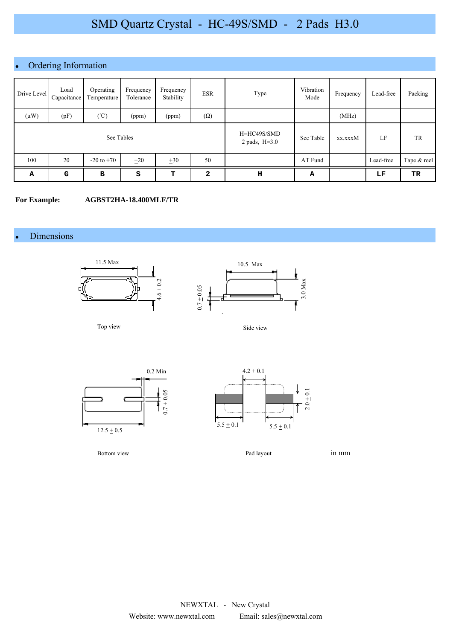# • Ordering Information

| Drive Level | Load<br>Capacitance | Operating<br>Temperature | Frequency<br>Tolerance | Frequency<br>Stability | <b>ESR</b>   | Type                           | Vibration<br>Mode | Frequency | Lead-free | Packing     |
|-------------|---------------------|--------------------------|------------------------|------------------------|--------------|--------------------------------|-------------------|-----------|-----------|-------------|
| $(\mu W)$   | (pF)                | $(\degree C)$            | (ppm)                  | (ppm)                  | $(\Omega)$   |                                |                   | (MHz)     |           |             |
|             | See Tables          |                          |                        |                        |              | H=HC49S/SMD<br>2 pads, $H=3.0$ | See Table         | xx.xxxM   | LF        | TR          |
| 100         | 20                  | $-20$ to $+70$           | $\pm 20$               | $\pm 30$               | 50           |                                | AT Fund           |           | Lead-free | Tape & reel |
| Α           | G                   | B                        | s                      | т                      | $\mathbf{2}$ | н                              | А                 |           | LF        | TR          |

#### **For Example: AGBST2HA-18.400MLF/TR**

#### Dimensions